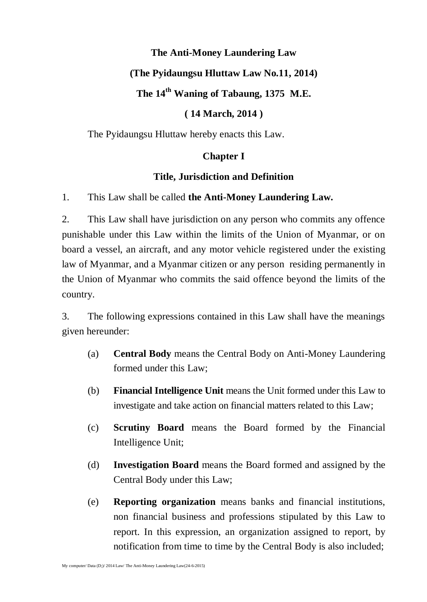#### **The Anti-Money Laundering Law**

### **(The Pyidaungsu Hluttaw Law No.11, 2014)**

### **The 14 th Waning of Tabaung, 1375 M.E.**

### **( 14 March, 2014 )**

The Pyidaungsu Hluttaw hereby enacts this Law.

# **Chapter I**

### **Title, Jurisdiction and Definition**

1. This Law shall be called **the Anti-Money Laundering Law.**

2. This Law shall have jurisdiction on any person who commits any offence punishable under this Law within the limits of the Union of Myanmar, or on board a vessel, an aircraft, and any motor vehicle registered under the existing law of Myanmar, and a Myanmar citizen or any person residing permanently in the Union of Myanmar who commits the said offence beyond the limits of the country.

3. The following expressions contained in this Law shall have the meanings given hereunder:

- (a) **Central Body** means the Central Body on Anti-Money Laundering formed under this Law;
- (b) **Financial Intelligence Unit** means the Unit formed under this Law to investigate and take action on financial matters related to this Law;
- (c) **Scrutiny Board** means the Board formed by the Financial Intelligence Unit;
- (d) **Investigation Board** means the Board formed and assigned by the Central Body under this Law;
- (e) **Reporting organization** means banks and financial institutions, non financial business and professions stipulated by this Law to report. In this expression, an organization assigned to report, by notification from time to time by the Central Body is also included;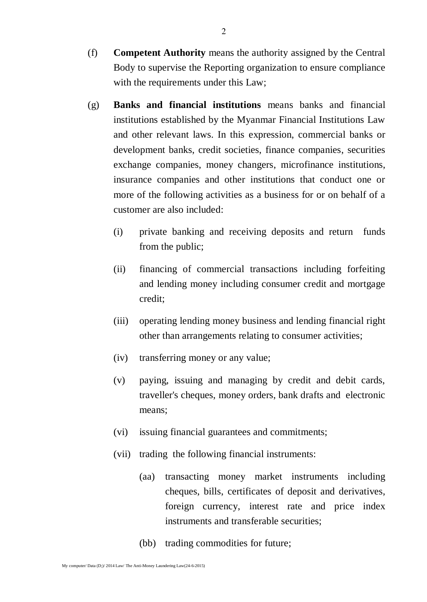- (f) **Competent Authority** means the authority assigned by the Central Body to supervise the Reporting organization to ensure compliance with the requirements under this Law;
- (g) **Banks and financial institutions** means banks and financial institutions established by the Myanmar Financial Institutions Law and other relevant laws. In this expression, commercial banks or development banks, credit societies, finance companies, securities exchange companies, money changers, microfinance institutions, insurance companies and other institutions that conduct one or more of the following activities as a business for or on behalf of a customer are also included:
	- (i) private banking and receiving deposits and return funds from the public;
	- (ii) financing of commercial transactions including forfeiting and lending money including consumer credit and mortgage credit;
	- (iii) operating lending money business and lending financial right other than arrangements relating to consumer activities;
	- (iv) transferring money or any value;
	- (v) paying, issuing and managing by credit and debit cards, traveller's cheques, money orders, bank drafts and electronic means;
	- (vi) issuing financial guarantees and commitments;
	- (vii) trading the following financial instruments:
		- (aa) transacting money market instruments including cheques, bills, certificates of deposit and derivatives, foreign currency, interest rate and price index instruments and transferable securities;
		- (bb) trading commodities for future;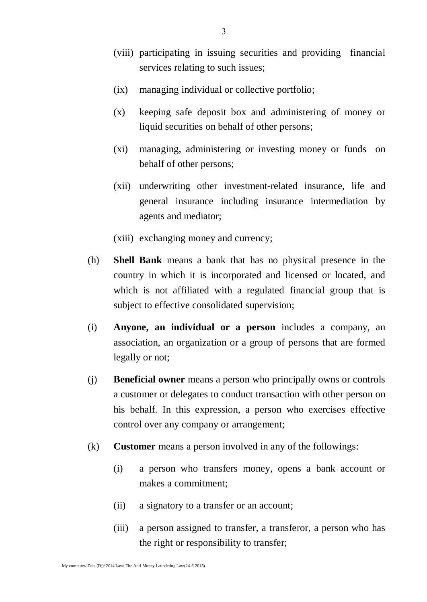- (viii) participating in issuing securities and providing financial services relating to such issues;
- (ix) managing individual or collective portfolio;
- (x) keeping safe deposit box and administering of money or liquid securities on behalf of other persons;
- (xi) managing, administering or investing money or funds on behalf of other persons;
- (xii) underwriting other investment-related insurance, life and general insurance including insurance intermediation by agents and mediator;
- (xiii) exchanging money and currency;
- (h) **Shell Bank** means a bank that has no physical presence in the country in which it is incorporated and licensed or located, and which is not affiliated with a regulated financial group that is subject to effective consolidated supervision;
- (i) **Anyone, an individual or a person** includes a company, an association, an organization or a group of persons that are formed legally or not;
- (j) **Beneficial owner** means a person who principally owns or controls a customer or delegates to conduct transaction with other person on his behalf. In this expression, a person who exercises effective control over any company or arrangement;
- (k) **Customer** means a person involved in any of the followings:
	- (i) a person who transfers money, opens a bank account or makes a commitment;
	- (ii) a signatory to a transfer or an account;
	- (iii) a person assigned to transfer, a transferor, a person who has the right or responsibility to transfer;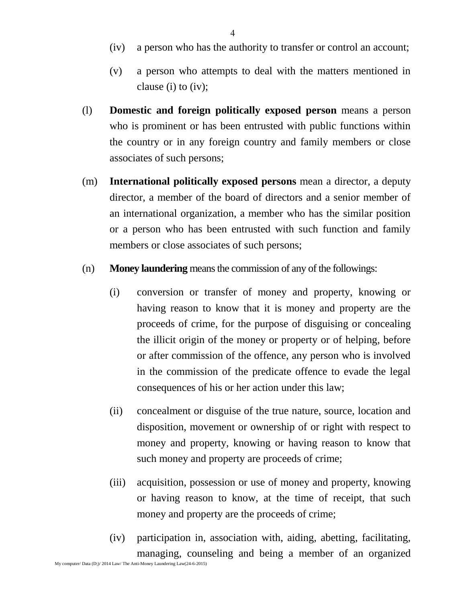- (iv) a person who has the authority to transfer or control an account;
- (v) a person who attempts to deal with the matters mentioned in clause (i) to (iv);
- (l) **Domestic and foreign politically exposed person** means a person who is prominent or has been entrusted with public functions within the country or in any foreign country and family members or close associates of such persons;
- (m) **International politically exposed persons** mean a director, a deputy director, a member of the board of directors and a senior member of an international organization, a member who has the similar position or a person who has been entrusted with such function and family members or close associates of such persons;
- (n) **Money laundering** means the commission of any of the followings:
	- (i) conversion or transfer of money and property, knowing or having reason to know that it is money and property are the proceeds of crime, for the purpose of disguising or concealing the illicit origin of the money or property or of helping, before or after commission of the offence, any person who is involved in the commission of the predicate offence to evade the legal consequences of his or her action under this law;
	- (ii) concealment or disguise of the true nature, source, location and disposition, movement or ownership of or right with respect to money and property, knowing or having reason to know that such money and property are proceeds of crime;
	- (iii) acquisition, possession or use of money and property, knowing or having reason to know, at the time of receipt, that such money and property are the proceeds of crime;
	- (iv) participation in, association with, aiding, abetting, facilitating, managing, counseling and being a member of an organized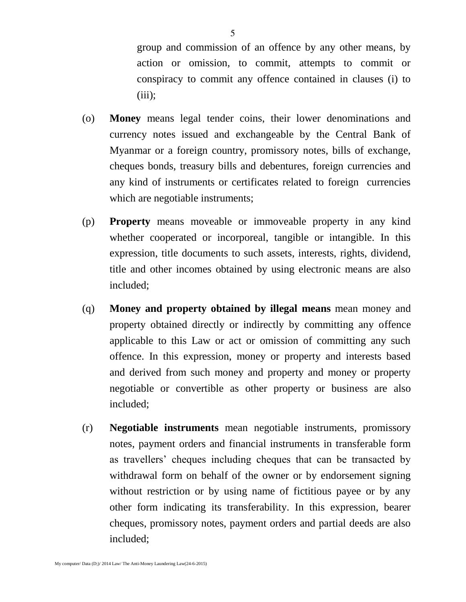group and commission of an offence by any other means, by action or omission, to commit, attempts to commit or conspiracy to commit any offence contained in clauses (i) to  $(iii);$ 

- (o) **Money** means legal tender coins, their lower denominations and currency notes issued and exchangeable by the Central Bank of Myanmar or a foreign country, promissory notes, bills of exchange, cheques bonds, treasury bills and debentures, foreign currencies and any kind of instruments or certificates related to foreign currencies which are negotiable instruments;
- (p) **Property** means moveable or immoveable property in any kind whether cooperated or incorporeal, tangible or intangible. In this expression, title documents to such assets, interests, rights, dividend, title and other incomes obtained by using electronic means are also included;
- (q) **Money and property obtained by illegal means** mean money and property obtained directly or indirectly by committing any offence applicable to this Law or act or omission of committing any such offence. In this expression, money or property and interests based and derived from such money and property and money or property negotiable or convertible as other property or business are also included;
- (r) **Negotiable instruments** mean negotiable instruments, promissory notes, payment orders and financial instruments in transferable form as travellers' cheques including cheques that can be transacted by withdrawal form on behalf of the owner or by endorsement signing without restriction or by using name of fictitious payee or by any other form indicating its transferability. In this expression, bearer cheques, promissory notes, payment orders and partial deeds are also included;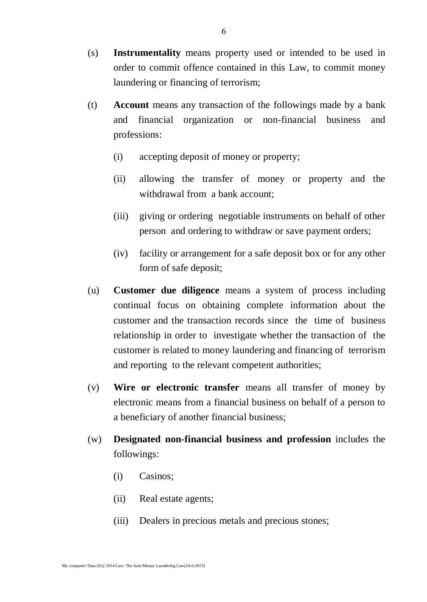- (s) **Instrumentality** means property used or intended to be used in order to commit offence contained in this Law, to commit money laundering or financing of terrorism;
- (t) **Account** means any transaction of the followings made by a bank and financial organization or non-financial business and professions:
	- (i) accepting deposit of money or property;
	- (ii) allowing the transfer of money or property and the withdrawal from a bank account;
	- (iii) giving or ordering negotiable instruments on behalf of other person and ordering to withdraw or save payment orders;
	- (iv) facility or arrangement for a safe deposit box or for any other form of safe deposit;
- (u) **Customer due diligence** means a system of process including continual focus on obtaining complete information about the customer and the transaction records since the time of business relationship in order to investigate whether the transaction of the customer is related to money laundering and financing of terrorism and reporting to the relevant competent authorities;
- (v) **Wire or electronic transfer** means all transfer of money by electronic means from a financial business on behalf of a person to a beneficiary of another financial business;
- (w) **Designated non-financial business and profession** includes the followings:
	- (i) Casinos;
	- (ii) Real estate agents;
	- (iii) Dealers in precious metals and precious stones;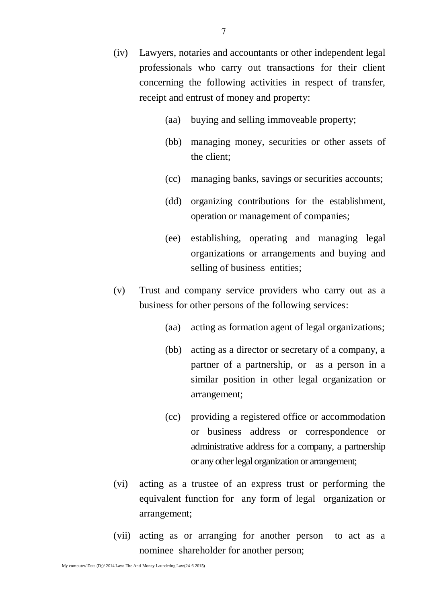- (iv) Lawyers, notaries and accountants or other independent legal professionals who carry out transactions for their client concerning the following activities in respect of transfer, receipt and entrust of money and property:
	- (aa) buying and selling immoveable property;
	- (bb) managing money, securities or other assets of the client;
	- (cc) managing banks, savings or securities accounts;
	- (dd) organizing contributions for the establishment, operation or management of companies;
	- (ee) establishing, operating and managing legal organizations or arrangements and buying and selling of business entities;
- (v) Trust and company service providers who carry out as a business for other persons of the following services:
	- (aa) acting as formation agent of legal organizations;
	- (bb) acting as a director or secretary of a company, a partner of a partnership, or as a person in a similar position in other legal organization or arrangement;
	- (cc) providing a registered office or accommodation or business address or correspondence or administrative address for a company, a partnership or any other legal organization or arrangement;
- (vi) acting as a trustee of an express trust or performing the equivalent function for any form of legal organization or arrangement;
- (vii) acting as or arranging for another person to act as a nominee shareholder for another person;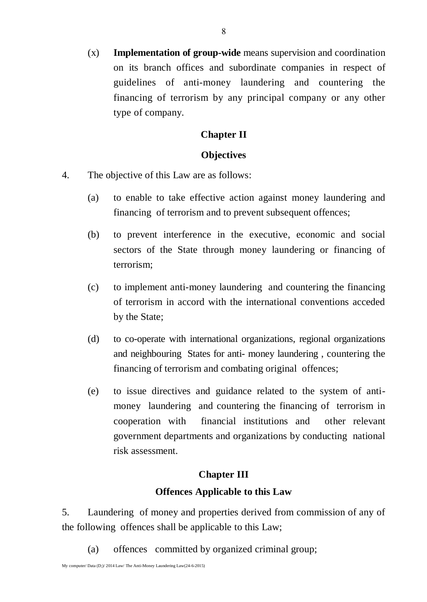(x) **Implementation of group-wide** means supervision and coordination on its branch offices and subordinate companies in respect of guidelines of anti-money laundering and countering the financing of terrorism by any principal company or any other type of company.

#### **Chapter II**

#### **Objectives**

- 4. The objective of this Law are as follows:
	- (a) to enable to take effective action against money laundering and financing of terrorism and to prevent subsequent offences;
	- (b) to prevent interference in the executive, economic and social sectors of the State through money laundering or financing of terrorism;
	- (c) to implement anti-money laundering and countering the financing of terrorism in accord with the international conventions acceded by the State;
	- (d) to co-operate with international organizations, regional organizations and neighbouring States for anti- money laundering , countering the financing of terrorism and combating original offences;
	- (e) to issue directives and guidance related to the system of antimoney laundering and countering the financing of terrorism in cooperation with financial institutions and other relevant government departments and organizations by conducting national risk assessment.

#### **Chapter III**

#### **Offences Applicable to this Law**

5. Laundering of money and properties derived from commission of any of the following offences shall be applicable to this Law;

(a) offences committed by organized criminal group;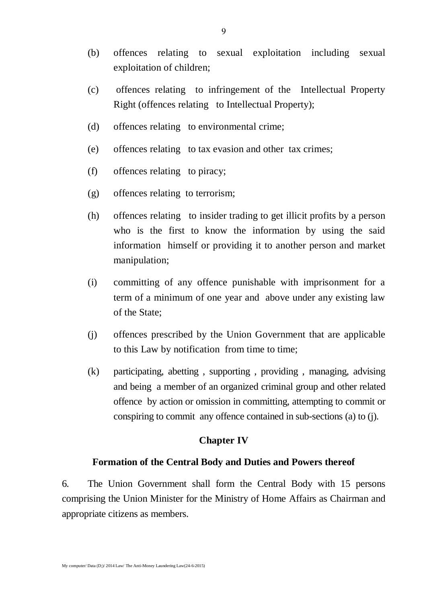- (b) offences relating to sexual exploitation including sexual exploitation of children;
- (c) offences relating to infringement of the Intellectual Property Right (offences relating to Intellectual Property);
- (d) offences relating to environmental crime;
- (e) offences relating to tax evasion and other tax crimes;
- (f) offences relating to piracy;
- (g) offences relating to terrorism;
- (h) offences relating to insider trading to get illicit profits by a person who is the first to know the information by using the said information himself or providing it to another person and market manipulation;
- (i) committing of any offence punishable with imprisonment for a term of a minimum of one year and above under any existing law of the State;
- (j) offences prescribed by the Union Government that are applicable to this Law by notification from time to time;
- (k) participating, abetting , supporting , providing , managing, advising and being a member of an organized criminal group and other related offence by action or omission in committing, attempting to commit or conspiring to commit any offence contained in sub-sections (a) to (j).

#### **Chapter IV**

#### **Formation of the Central Body and Duties and Powers thereof**

6. The Union Government shall form the Central Body with 15 persons comprising the Union Minister for the Ministry of Home Affairs as Chairman and appropriate citizens as members.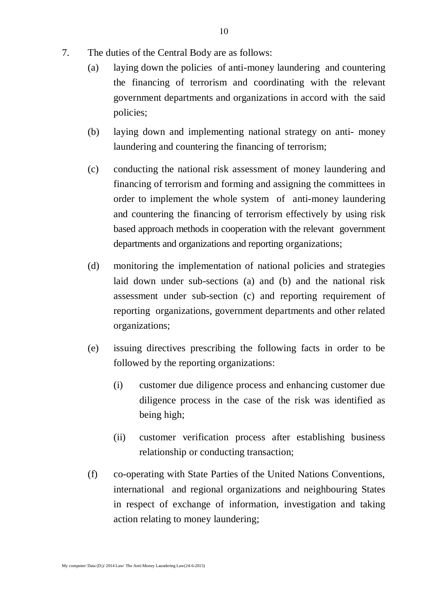- 7. The duties of the Central Body are as follows:
	- (a) laying down the policies of anti-money laundering and countering the financing of terrorism and coordinating with the relevant government departments and organizations in accord with the said policies;
	- (b) laying down and implementing national strategy on anti- money laundering and countering the financing of terrorism;
	- (c) conducting the national risk assessment of money laundering and financing of terrorism and forming and assigning the committees in order to implement the whole system of anti-money laundering and countering the financing of terrorism effectively by using risk based approach methods in cooperation with the relevant government departments and organizations and reporting organizations;
	- (d) monitoring the implementation of national policies and strategies laid down under sub-sections (a) and (b) and the national risk assessment under sub-section (c) and reporting requirement of reporting organizations, government departments and other related organizations;
	- (e) issuing directives prescribing the following facts in order to be followed by the reporting organizations:
		- (i) customer due diligence process and enhancing customer due diligence process in the case of the risk was identified as being high;
		- (ii) customer verification process after establishing business relationship or conducting transaction;
	- (f) co-operating with State Parties of the United Nations Conventions, international and regional organizations and neighbouring States in respect of exchange of information, investigation and taking action relating to money laundering;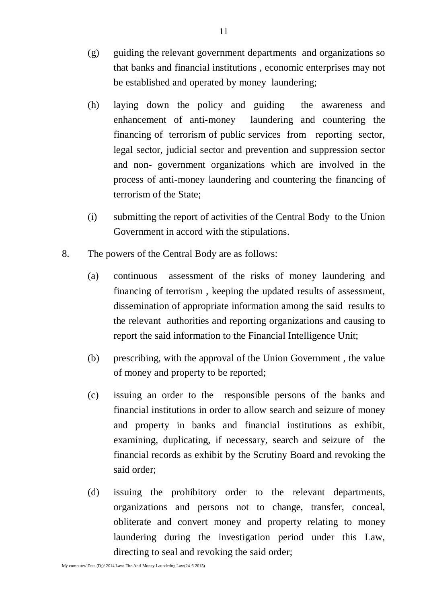- (g) guiding the relevant government departments and organizations so that banks and financial institutions , economic enterprises may not be established and operated by money laundering;
- (h) laying down the policy and guiding the awareness and enhancement of anti-money laundering and countering the financing of terrorism of public services from reporting sector, legal sector, judicial sector and prevention and suppression sector and non- government organizations which are involved in the process of anti-money laundering and countering the financing of terrorism of the State;
- (i) submitting the report of activities of the Central Body to the Union Government in accord with the stipulations.
- 8. The powers of the Central Body are as follows:
	- (a) continuous assessment of the risks of money laundering and financing of terrorism , keeping the updated results of assessment, dissemination of appropriate information among the said results to the relevant authorities and reporting organizations and causing to report the said information to the Financial Intelligence Unit;
	- (b) prescribing, with the approval of the Union Government , the value of money and property to be reported;
	- (c) issuing an order to the responsible persons of the banks and financial institutions in order to allow search and seizure of money and property in banks and financial institutions as exhibit, examining, duplicating, if necessary, search and seizure of the financial records as exhibit by the Scrutiny Board and revoking the said order;
	- (d) issuing the prohibitory order to the relevant departments, organizations and persons not to change, transfer, conceal, obliterate and convert money and property relating to money laundering during the investigation period under this Law, directing to seal and revoking the said order;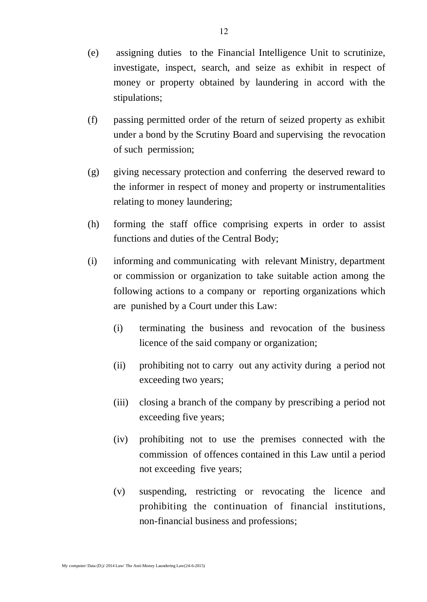- (e) assigning duties to the Financial Intelligence Unit to scrutinize, investigate, inspect, search, and seize as exhibit in respect of money or property obtained by laundering in accord with the stipulations;
- (f) passing permitted order of the return of seized property as exhibit under a bond by the Scrutiny Board and supervising the revocation of such permission;
- (g) giving necessary protection and conferring the deserved reward to the informer in respect of money and property or instrumentalities relating to money laundering;
- (h) forming the staff office comprising experts in order to assist functions and duties of the Central Body;
- (i) informing and communicating with relevant Ministry, department or commission or organization to take suitable action among the following actions to a company or reporting organizations which are punished by a Court under this Law:
	- (i) terminating the business and revocation of the business licence of the said company or organization;
	- (ii) prohibiting not to carry out any activity during a period not exceeding two years;
	- (iii) closing a branch of the company by prescribing a period not exceeding five years;
	- (iv) prohibiting not to use the premises connected with the commission of offences contained in this Law until a period not exceeding five years;
	- (v) suspending, restricting or revocating the licence and prohibiting the continuation of financial institutions, non-financial business and professions;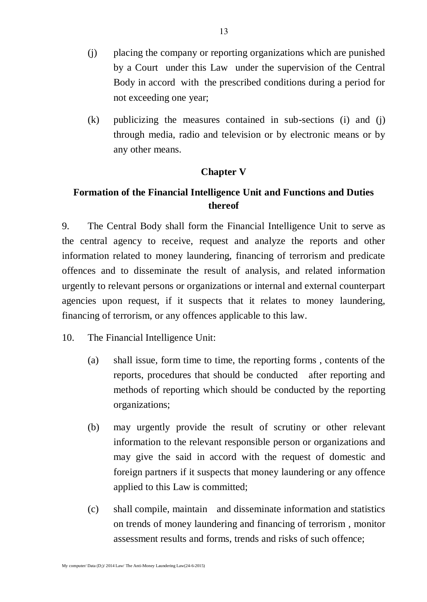- (j) placing the company or reporting organizations which are punished by a Court under this Law under the supervision of the Central Body in accord with the prescribed conditions during a period for not exceeding one year;
- (k) publicizing the measures contained in sub-sections (i) and (j) through media, radio and television or by electronic means or by any other means.

#### **Chapter V**

### **Formation of the Financial Intelligence Unit and Functions and Duties thereof**

9. The Central Body shall form the Financial Intelligence Unit to serve as the central agency to receive, request and analyze the reports and other information related to money laundering, financing of terrorism and predicate offences and to disseminate the result of analysis, and related information urgently to relevant persons or organizations or internal and external counterpart agencies upon request, if it suspects that it relates to money laundering, financing of terrorism, or any offences applicable to this law.

- 10. The Financial Intelligence Unit:
	- (a) shall issue, form time to time, the reporting forms , contents of the reports, procedures that should be conducted after reporting and methods of reporting which should be conducted by the reporting organizations;
	- (b) may urgently provide the result of scrutiny or other relevant information to the relevant responsible person or organizations and may give the said in accord with the request of domestic and foreign partners if it suspects that money laundering or any offence applied to this Law is committed;
	- (c) shall compile, maintain and disseminate information and statistics on trends of money laundering and financing of terrorism , monitor assessment results and forms, trends and risks of such offence;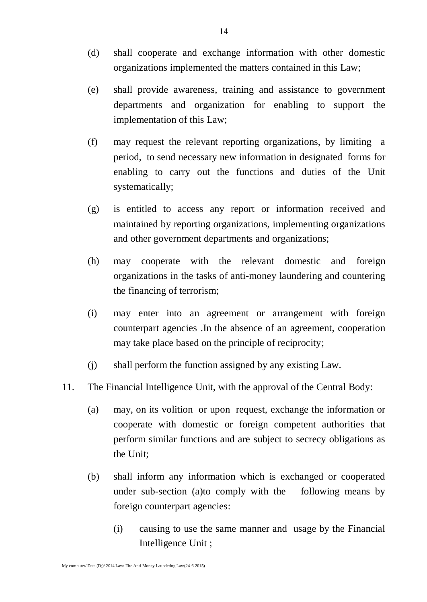- (d) shall cooperate and exchange information with other domestic organizations implemented the matters contained in this Law;
- (e) shall provide awareness, training and assistance to government departments and organization for enabling to support the implementation of this Law;
- (f) may request the relevant reporting organizations, by limiting a period, to send necessary new information in designated forms for enabling to carry out the functions and duties of the Unit systematically;
- (g) is entitled to access any report or information received and maintained by reporting organizations, implementing organizations and other government departments and organizations;
- (h) may cooperate with the relevant domestic and foreign organizations in the tasks of anti-money laundering and countering the financing of terrorism;
- (i) may enter into an agreement or arrangement with foreign counterpart agencies .In the absence of an agreement, cooperation may take place based on the principle of reciprocity;
- (j) shall perform the function assigned by any existing Law.
- 11. The Financial Intelligence Unit, with the approval of the Central Body:
	- (a) may, on its volition or upon request, exchange the information or cooperate with domestic or foreign competent authorities that perform similar functions and are subject to secrecy obligations as the Unit;
	- (b) shall inform any information which is exchanged or cooperated under sub-section (a)to comply with the following means by foreign counterpart agencies:
		- (i) causing to use the same manner and usage by the Financial Intelligence Unit ;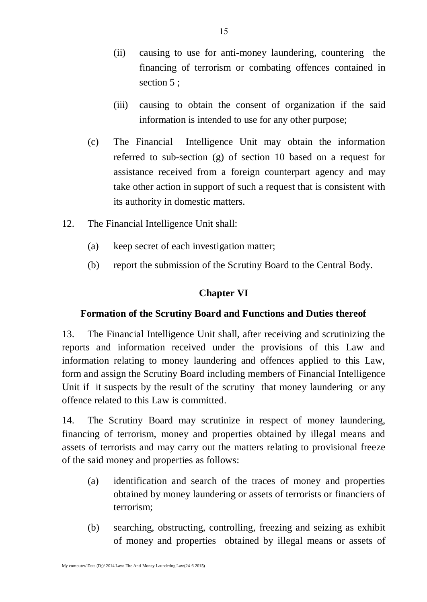- (ii) causing to use for anti-money laundering, countering the financing of terrorism or combating offences contained in section 5 :
- (iii) causing to obtain the consent of organization if the said information is intended to use for any other purpose;
- (c) The Financial Intelligence Unit may obtain the information referred to sub-section (g) of section 10 based on a request for assistance received from a foreign counterpart agency and may take other action in support of such a request that is consistent with its authority in domestic matters.
- 12. The Financial Intelligence Unit shall:
	- (a) keep secret of each investigation matter;
	- (b) report the submission of the Scrutiny Board to the Central Body.

### **Chapter VI**

### **Formation of the Scrutiny Board and Functions and Duties thereof**

13. The Financial Intelligence Unit shall, after receiving and scrutinizing the reports and information received under the provisions of this Law and information relating to money laundering and offences applied to this Law, form and assign the Scrutiny Board including members of Financial Intelligence Unit if it suspects by the result of the scrutiny that money laundering or any offence related to this Law is committed.

14. The Scrutiny Board may scrutinize in respect of money laundering, financing of terrorism, money and properties obtained by illegal means and assets of terrorists and may carry out the matters relating to provisional freeze of the said money and properties as follows:

- (a) identification and search of the traces of money and properties obtained by money laundering or assets of terrorists or financiers of terrorism;
- (b) searching, obstructing, controlling, freezing and seizing as exhibit of money and properties obtained by illegal means or assets of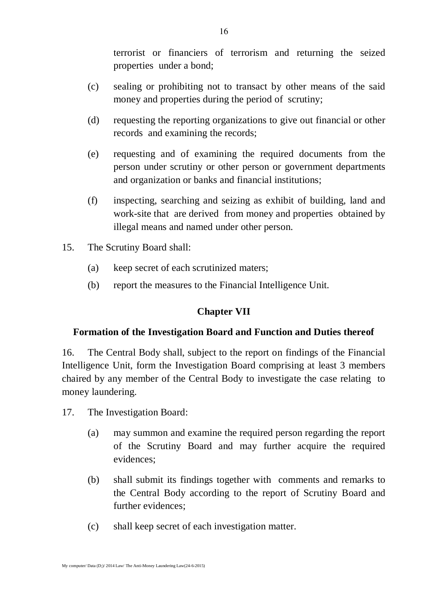terrorist or financiers of terrorism and returning the seized properties under a bond;

- (c) sealing or prohibiting not to transact by other means of the said money and properties during the period of scrutiny;
- (d) requesting the reporting organizations to give out financial or other records and examining the records;
- (e) requesting and of examining the required documents from the person under scrutiny or other person or government departments and organization or banks and financial institutions;
- (f) inspecting, searching and seizing as exhibit of building, land and work-site that are derived from money and properties obtained by illegal means and named under other person.
- 15. The Scrutiny Board shall:
	- (a) keep secret of each scrutinized maters;
	- (b) report the measures to the Financial Intelligence Unit.

#### **Chapter VII**

#### **Formation of the Investigation Board and Function and Duties thereof**

16. The Central Body shall, subject to the report on findings of the Financial Intelligence Unit, form the Investigation Board comprising at least 3 members chaired by any member of the Central Body to investigate the case relating to money laundering.

- 17. The Investigation Board:
	- (a) may summon and examine the required person regarding the report of the Scrutiny Board and may further acquire the required evidences;
	- (b) shall submit its findings together with comments and remarks to the Central Body according to the report of Scrutiny Board and further evidences;
	- (c) shall keep secret of each investigation matter.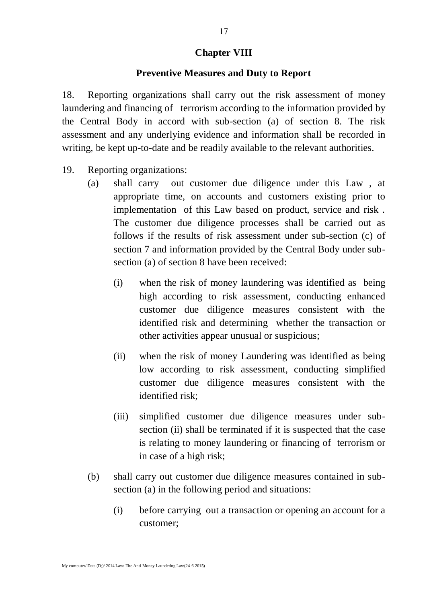#### **Chapter VIII**

#### **Preventive Measures and Duty to Report**

18. Reporting organizations shall carry out the risk assessment of money laundering and financing of terrorism according to the information provided by the Central Body in accord with sub-section (a) of section 8. The risk assessment and any underlying evidence and information shall be recorded in writing, be kept up-to-date and be readily available to the relevant authorities.

- 19. Reporting organizations:
	- (a) shall carry out customer due diligence under this Law , at appropriate time, on accounts and customers existing prior to implementation of this Law based on product, service and risk . The customer due diligence processes shall be carried out as follows if the results of risk assessment under sub-section (c) of section 7 and information provided by the Central Body under subsection (a) of section 8 have been received:
		- (i) when the risk of money laundering was identified as being high according to risk assessment, conducting enhanced customer due diligence measures consistent with the identified risk and determining whether the transaction or other activities appear unusual or suspicious;
		- (ii) when the risk of money Laundering was identified as being low according to risk assessment, conducting simplified customer due diligence measures consistent with the identified risk;
		- (iii) simplified customer due diligence measures under subsection (ii) shall be terminated if it is suspected that the case is relating to money laundering or financing of terrorism or in case of a high risk;
	- (b) shall carry out customer due diligence measures contained in subsection (a) in the following period and situations:
		- (i) before carrying out a transaction or opening an account for a customer;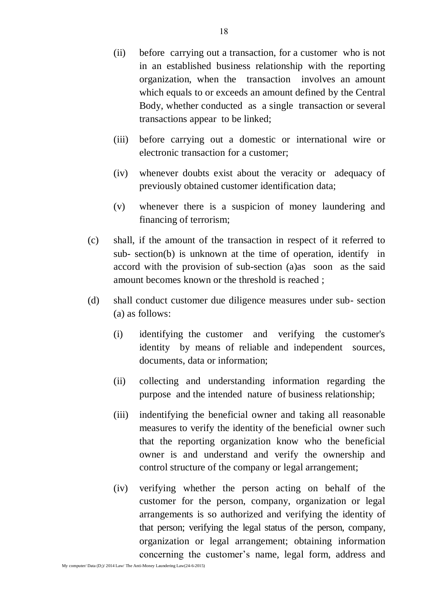- (ii) before carrying out a transaction, for a customer who is not in an established business relationship with the reporting organization, when the transaction involves an amount which equals to or exceeds an amount defined by the Central Body, whether conducted as a single transaction or several transactions appear to be linked;
- (iii) before carrying out a domestic or international wire or electronic transaction for a customer;
- (iv) whenever doubts exist about the veracity or adequacy of previously obtained customer identification data;
- (v) whenever there is a suspicion of money laundering and financing of terrorism;
- (c) shall, if the amount of the transaction in respect of it referred to sub- section(b) is unknown at the time of operation, identify in accord with the provision of sub-section (a)as soon as the said amount becomes known or the threshold is reached ;
- (d) shall conduct customer due diligence measures under sub- section (a) as follows:
	- (i) identifying the customer and verifying the customer's identity by means of reliable and independent sources, documents, data or information;
	- (ii) collecting and understanding information regarding the purpose and the intended nature of business relationship;
	- (iii) indentifying the beneficial owner and taking all reasonable measures to verify the identity of the beneficial owner such that the reporting organization know who the beneficial owner is and understand and verify the ownership and control structure of the company or legal arrangement;
	- (iv) verifying whether the person acting on behalf of the customer for the person, company, organization or legal arrangements is so authorized and verifying the identity of that person; verifying the legal status of the person, company, organization or legal arrangement; obtaining information concerning the customer's name, legal form, address and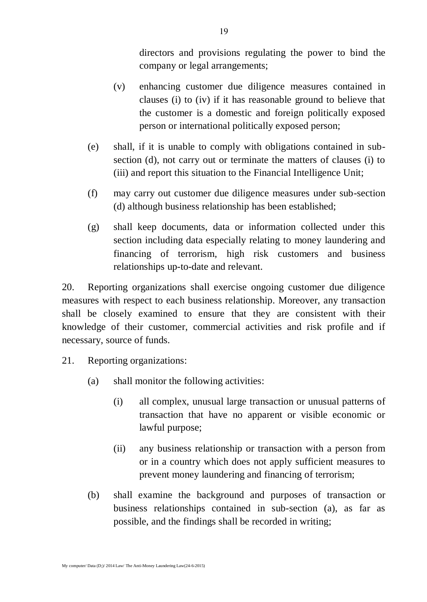directors and provisions regulating the power to bind the company or legal arrangements;

- (v) enhancing customer due diligence measures contained in clauses (i) to (iv) if it has reasonable ground to believe that the customer is a domestic and foreign politically exposed person or international politically exposed person;
- (e) shall, if it is unable to comply with obligations contained in subsection (d), not carry out or terminate the matters of clauses (i) to (iii) and report this situation to the Financial Intelligence Unit;
- (f) may carry out customer due diligence measures under sub-section (d) although business relationship has been established;
- (g) shall keep documents, data or information collected under this section including data especially relating to money laundering and financing of terrorism, high risk customers and business relationships up-to-date and relevant.

20. Reporting organizations shall exercise ongoing customer due diligence measures with respect to each business relationship. Moreover, any transaction shall be closely examined to ensure that they are consistent with their knowledge of their customer, commercial activities and risk profile and if necessary, source of funds.

- 21. Reporting organizations:
	- (a) shall monitor the following activities:
		- (i) all complex, unusual large transaction or unusual patterns of transaction that have no apparent or visible economic or lawful purpose;
		- (ii) any business relationship or transaction with a person from or in a country which does not apply sufficient measures to prevent money laundering and financing of terrorism;
	- (b) shall examine the background and purposes of transaction or business relationships contained in sub-section (a), as far as possible, and the findings shall be recorded in writing;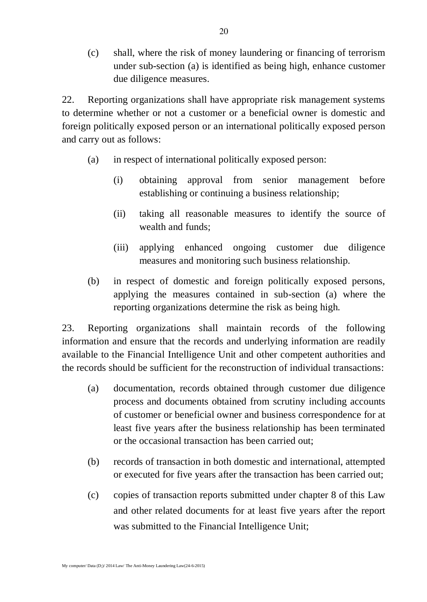(c) shall, where the risk of money laundering or financing of terrorism under sub-section (a) is identified as being high, enhance customer due diligence measures.

22. Reporting organizations shall have appropriate risk management systems to determine whether or not a customer or a beneficial owner is domestic and foreign politically exposed person or an international politically exposed person and carry out as follows:

- (a) in respect of international politically exposed person:
	- (i) obtaining approval from senior management before establishing or continuing a business relationship;
	- (ii) taking all reasonable measures to identify the source of wealth and funds;
	- (iii) applying enhanced ongoing customer due diligence measures and monitoring such business relationship.
- (b) in respect of domestic and foreign politically exposed persons, applying the measures contained in sub-section (a) where the reporting organizations determine the risk as being high.

23. Reporting organizations shall maintain records of the following information and ensure that the records and underlying information are readily available to the Financial Intelligence Unit and other competent authorities and the records should be sufficient for the reconstruction of individual transactions:

- (a) documentation, records obtained through customer due diligence process and documents obtained from scrutiny including accounts of customer or beneficial owner and business correspondence for at least five years after the business relationship has been terminated or the occasional transaction has been carried out;
- (b) records of transaction in both domestic and international, attempted or executed for five years after the transaction has been carried out;
- (c) copies of transaction reports submitted under chapter 8 of this Law and other related documents for at least five years after the report was submitted to the Financial Intelligence Unit;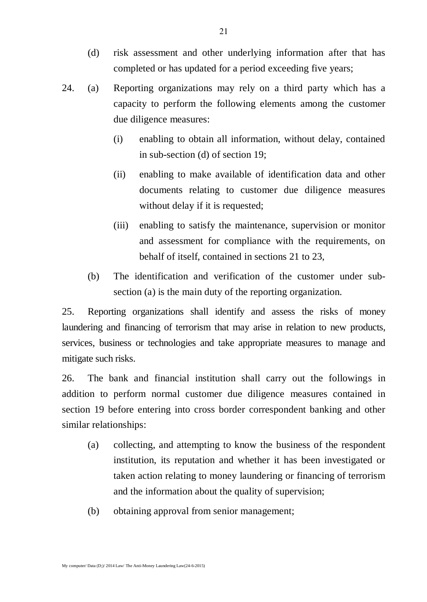- (d) risk assessment and other underlying information after that has completed or has updated for a period exceeding five years;
- 24. (a) Reporting organizations may rely on a third party which has a capacity to perform the following elements among the customer due diligence measures:
	- (i) enabling to obtain all information, without delay, contained in sub-section (d) of section 19;
	- (ii) enabling to make available of identification data and other documents relating to customer due diligence measures without delay if it is requested;
	- (iii) enabling to satisfy the maintenance, supervision or monitor and assessment for compliance with the requirements, on behalf of itself, contained in sections 21 to 23,
	- (b) The identification and verification of the customer under subsection (a) is the main duty of the reporting organization.

25. Reporting organizations shall identify and assess the risks of money laundering and financing of terrorism that may arise in relation to new products, services, business or technologies and take appropriate measures to manage and mitigate such risks.

26. The bank and financial institution shall carry out the followings in addition to perform normal customer due diligence measures contained in section 19 before entering into cross border correspondent banking and other similar relationships:

- (a) collecting, and attempting to know the business of the respondent institution, its reputation and whether it has been investigated or taken action relating to money laundering or financing of terrorism and the information about the quality of supervision;
- (b) obtaining approval from senior management;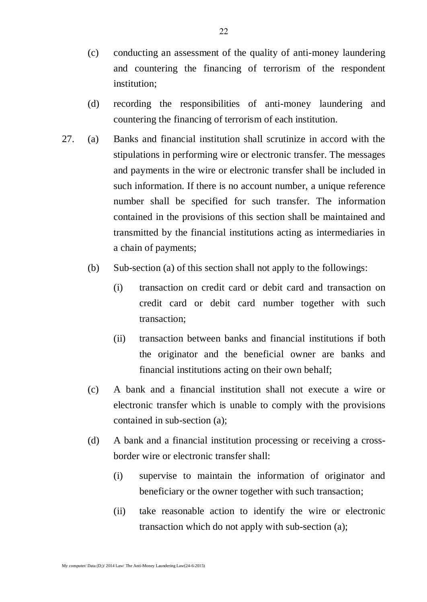- (c) conducting an assessment of the quality of anti-money laundering and countering the financing of terrorism of the respondent institution;
- (d) recording the responsibilities of anti-money laundering and countering the financing of terrorism of each institution.
- 27. (a) Banks and financial institution shall scrutinize in accord with the stipulations in performing wire or electronic transfer. The messages and payments in the wire or electronic transfer shall be included in such information. If there is no account number, a unique reference number shall be specified for such transfer. The information contained in the provisions of this section shall be maintained and transmitted by the financial institutions acting as intermediaries in a chain of payments;
	- (b) Sub-section (a) of this section shall not apply to the followings:
		- (i) transaction on credit card or debit card and transaction on credit card or debit card number together with such transaction;
		- (ii) transaction between banks and financial institutions if both the originator and the beneficial owner are banks and financial institutions acting on their own behalf;
	- (c) A bank and a financial institution shall not execute a wire or electronic transfer which is unable to comply with the provisions contained in sub-section (a);
	- (d) A bank and a financial institution processing or receiving a crossborder wire or electronic transfer shall:
		- (i) supervise to maintain the information of originator and beneficiary or the owner together with such transaction;
		- (ii) take reasonable action to identify the wire or electronic transaction which do not apply with sub-section (a);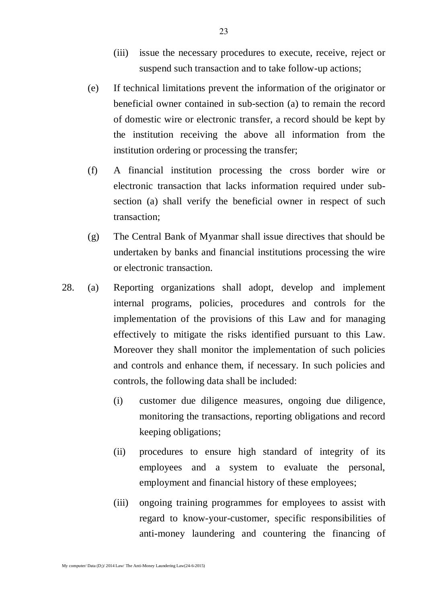- (iii) issue the necessary procedures to execute, receive, reject or suspend such transaction and to take follow-up actions;
- (e) If technical limitations prevent the information of the originator or beneficial owner contained in sub-section (a) to remain the record of domestic wire or electronic transfer, a record should be kept by the institution receiving the above all information from the institution ordering or processing the transfer;
- (f) A financial institution processing the cross border wire or electronic transaction that lacks information required under subsection (a) shall verify the beneficial owner in respect of such transaction;
- (g) The Central Bank of Myanmar shall issue directives that should be undertaken by banks and financial institutions processing the wire or electronic transaction.
- 28. (a) Reporting organizations shall adopt, develop and implement internal programs, policies, procedures and controls for the implementation of the provisions of this Law and for managing effectively to mitigate the risks identified pursuant to this Law. Moreover they shall monitor the implementation of such policies and controls and enhance them, if necessary. In such policies and controls, the following data shall be included:
	- (i) customer due diligence measures, ongoing due diligence, monitoring the transactions, reporting obligations and record keeping obligations;
	- (ii) procedures to ensure high standard of integrity of its employees and a system to evaluate the personal, employment and financial history of these employees;
	- (iii) ongoing training programmes for employees to assist with regard to know-your-customer, specific responsibilities of anti-money laundering and countering the financing of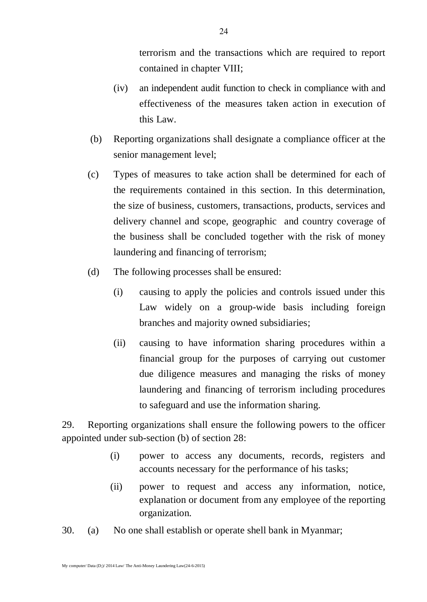terrorism and the transactions which are required to report contained in chapter VIII;

- (iv) an independent audit function to check in compliance with and effectiveness of the measures taken action in execution of this Law.
- (b) Reporting organizations shall designate a compliance officer at the senior management level;
- (c) Types of measures to take action shall be determined for each of the requirements contained in this section. In this determination, the size of business, customers, transactions, products, services and delivery channel and scope, geographic and country coverage of the business shall be concluded together with the risk of money laundering and financing of terrorism;
- (d) The following processes shall be ensured:
	- (i) causing to apply the policies and controls issued under this Law widely on a group-wide basis including foreign branches and majority owned subsidiaries;
	- (ii) causing to have information sharing procedures within a financial group for the purposes of carrying out customer due diligence measures and managing the risks of money laundering and financing of terrorism including procedures to safeguard and use the information sharing.

29. Reporting organizations shall ensure the following powers to the officer appointed under sub-section (b) of section 28:

- (i) power to access any documents, records, registers and accounts necessary for the performance of his tasks;
- (ii) power to request and access any information, notice, explanation or document from any employee of the reporting organization.
- 30. (a) No one shall establish or operate shell bank in Myanmar;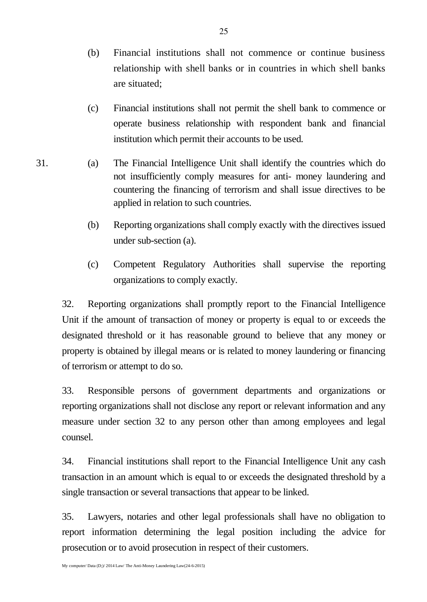- (b) Financial institutions shall not commence or continue business relationship with shell banks or in countries in which shell banks are situated;
- (c) Financial institutions shall not permit the shell bank to commence or operate business relationship with respondent bank and financial institution which permit their accounts to be used.
- 31. (a) The Financial Intelligence Unit shall identify the countries which do not insufficiently comply measures for anti- money laundering and countering the financing of terrorism and shall issue directives to be applied in relation to such countries.
	- (b) Reporting organizations shall comply exactly with the directives issued under sub-section (a).
	- (c) Competent Regulatory Authorities shall supervise the reporting organizations to comply exactly.

32. Reporting organizations shall promptly report to the Financial Intelligence Unit if the amount of transaction of money or property is equal to or exceeds the designated threshold or it has reasonable ground to believe that any money or property is obtained by illegal means or is related to money laundering or financing of terrorism or attempt to do so.

33. Responsible persons of government departments and organizations or reporting organizations shall not disclose any report or relevant information and any measure under section 32 to any person other than among employees and legal counsel.

34. Financial institutions shall report to the Financial Intelligence Unit any cash transaction in an amount which is equal to or exceeds the designated threshold by a single transaction or several transactions that appear to be linked.

35. Lawyers, notaries and other legal professionals shall have no obligation to report information determining the legal position including the advice for prosecution or to avoid prosecution in respect of their customers.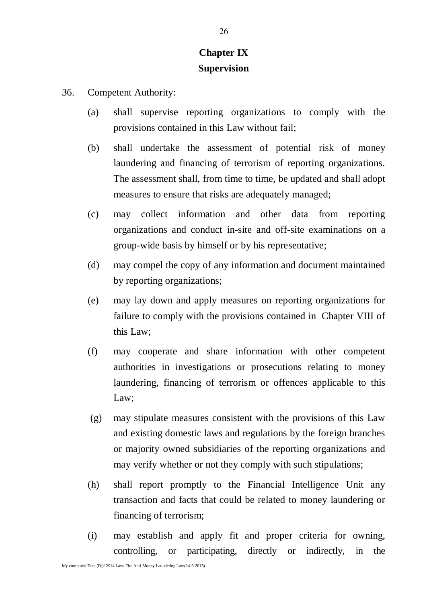# **Chapter IX Supervision**

- 36. Competent Authority:
	- (a) shall supervise reporting organizations to comply with the provisions contained in this Law without fail;
	- (b) shall undertake the assessment of potential risk of money laundering and financing of terrorism of reporting organizations. The assessment shall, from time to time, be updated and shall adopt measures to ensure that risks are adequately managed;
	- (c) may collect information and other data from reporting organizations and conduct in-site and off-site examinations on a group-wide basis by himself or by his representative;
	- (d) may compel the copy of any information and document maintained by reporting organizations;
	- (e) may lay down and apply measures on reporting organizations for failure to comply with the provisions contained in Chapter VIII of this Law;
	- (f) may cooperate and share information with other competent authorities in investigations or prosecutions relating to money laundering, financing of terrorism or offences applicable to this Law;
	- (g) may stipulate measures consistent with the provisions of this Law and existing domestic laws and regulations by the foreign branches or majority owned subsidiaries of the reporting organizations and may verify whether or not they comply with such stipulations;
	- (h) shall report promptly to the Financial Intelligence Unit any transaction and facts that could be related to money laundering or financing of terrorism;
	- (i) may establish and apply fit and proper criteria for owning, controlling, or participating, directly or indirectly, in the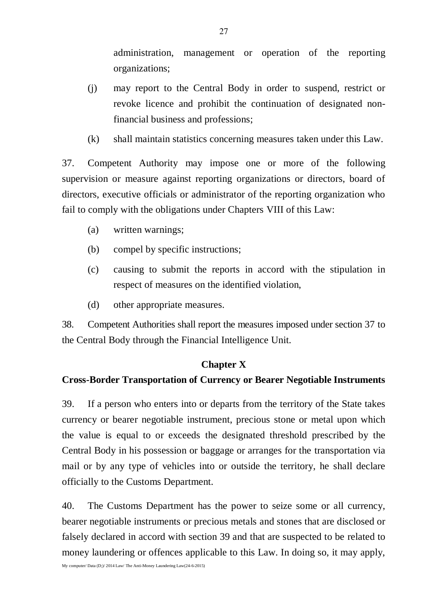administration, management or operation of the reporting organizations;

- (j) may report to the Central Body in order to suspend, restrict or revoke licence and prohibit the continuation of designated nonfinancial business and professions;
- (k) shall maintain statistics concerning measures taken under this Law.

37. Competent Authority may impose one or more of the following supervision or measure against reporting organizations or directors, board of directors, executive officials or administrator of the reporting organization who fail to comply with the obligations under Chapters VIII of this Law:

- (a) written warnings;
- (b) compel by specific instructions;
- (c) causing to submit the reports in accord with the stipulation in respect of measures on the identified violation,
- (d) other appropriate measures.

38. Competent Authorities shall report the measures imposed under section 37 to the Central Body through the Financial Intelligence Unit.

#### **Chapter X**

#### **Cross-Border Transportation of Currency or Bearer Negotiable Instruments**

39. If a person who enters into or departs from the territory of the State takes currency or bearer negotiable instrument, precious stone or metal upon which the value is equal to or exceeds the designated threshold prescribed by the Central Body in his possession or baggage or arranges for the transportation via mail or by any type of vehicles into or outside the territory, he shall declare officially to the Customs Department.

40. The Customs Department has the power to seize some or all currency, bearer negotiable instruments or precious metals and stones that are disclosed or falsely declared in accord with section 39 and that are suspected to be related to money laundering or offences applicable to this Law. In doing so, it may apply,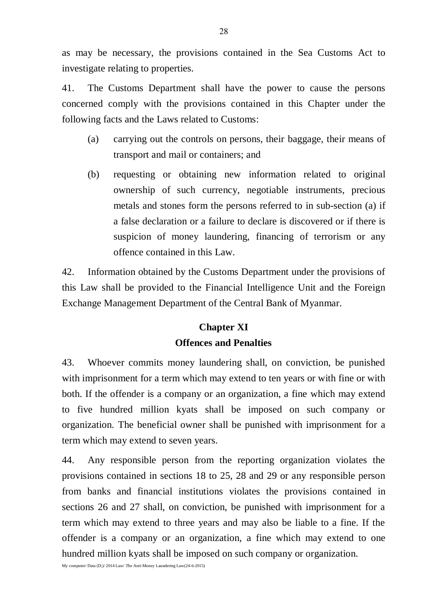as may be necessary, the provisions contained in the Sea Customs Act to investigate relating to properties.

41. The Customs Department shall have the power to cause the persons concerned comply with the provisions contained in this Chapter under the following facts and the Laws related to Customs:

- (a) carrying out the controls on persons, their baggage, their means of transport and mail or containers; and
- (b) requesting or obtaining new information related to original ownership of such currency, negotiable instruments, precious metals and stones form the persons referred to in sub-section (a) if a false declaration or a failure to declare is discovered or if there is suspicion of money laundering, financing of terrorism or any offence contained in this Law.

42. Information obtained by the Customs Department under the provisions of this Law shall be provided to the Financial Intelligence Unit and the Foreign Exchange Management Department of the Central Bank of Myanmar.

# **Chapter XI**

### **Offences and Penalties**

43. Whoever commits money laundering shall, on conviction, be punished with imprisonment for a term which may extend to ten years or with fine or with both. If the offender is a company or an organization, a fine which may extend to five hundred million kyats shall be imposed on such company or organization. The beneficial owner shall be punished with imprisonment for a term which may extend to seven years.

44. Any responsible person from the reporting organization violates the provisions contained in sections 18 to 25, 28 and 29 or any responsible person from banks and financial institutions violates the provisions contained in sections 26 and 27 shall, on conviction, be punished with imprisonment for a term which may extend to three years and may also be liable to a fine. If the offender is a company or an organization, a fine which may extend to one hundred million kyats shall be imposed on such company or organization.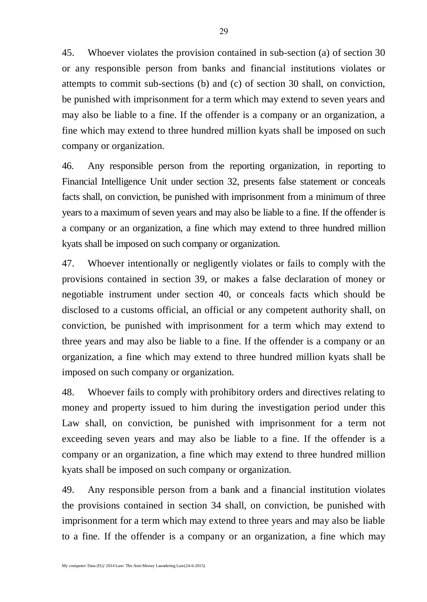45. Whoever violates the provision contained in sub-section (a) of section 30 or any responsible person from banks and financial institutions violates or attempts to commit sub-sections (b) and (c) of section 30 shall, on conviction, be punished with imprisonment for a term which may extend to seven years and may also be liable to a fine. If the offender is a company or an organization, a fine which may extend to three hundred million kyats shall be imposed on such company or organization.

46. Any responsible person from the reporting organization, in reporting to Financial Intelligence Unit under section 32, presents false statement or conceals facts shall, on conviction, be punished with imprisonment from a minimum of three years to a maximum of seven years and may also be liable to a fine. If the offender is a company or an organization, a fine which may extend to three hundred million kyats shall be imposed on such company or organization.

47. Whoever intentionally or negligently violates or fails to comply with the provisions contained in section 39, or makes a false declaration of money or negotiable instrument under section 40, or conceals facts which should be disclosed to a customs official, an official or any competent authority shall, on conviction, be punished with imprisonment for a term which may extend to three years and may also be liable to a fine. If the offender is a company or an organization, a fine which may extend to three hundred million kyats shall be imposed on such company or organization.

48. Whoever fails to comply with prohibitory orders and directives relating to money and property issued to him during the investigation period under this Law shall, on conviction, be punished with imprisonment for a term not exceeding seven years and may also be liable to a fine. If the offender is a company or an organization, a fine which may extend to three hundred million kyats shall be imposed on such company or organization.

49. Any responsible person from a bank and a financial institution violates the provisions contained in section 34 shall, on conviction, be punished with imprisonment for a term which may extend to three years and may also be liable to a fine. If the offender is a company or an organization, a fine which may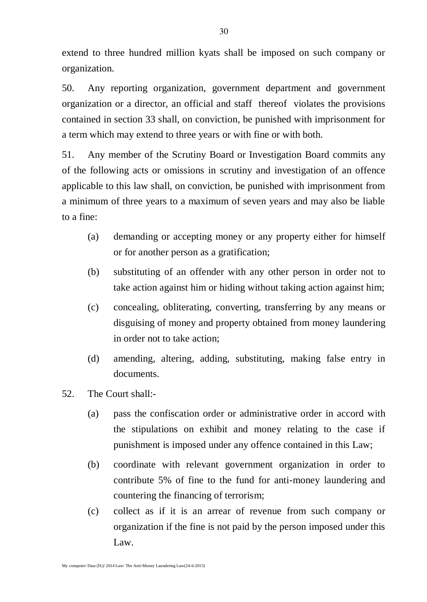extend to three hundred million kyats shall be imposed on such company or organization.

50. Any reporting organization, government department and government organization or a director, an official and staff thereof violates the provisions contained in section 33 shall, on conviction, be punished with imprisonment for a term which may extend to three years or with fine or with both.

51. Any member of the Scrutiny Board or Investigation Board commits any of the following acts or omissions in scrutiny and investigation of an offence applicable to this law shall, on conviction, be punished with imprisonment from a minimum of three years to a maximum of seven years and may also be liable to a fine:

- (a) demanding or accepting money or any property either for himself or for another person as a gratification;
- (b) substituting of an offender with any other person in order not to take action against him or hiding without taking action against him;
- (c) concealing, obliterating, converting, transferring by any means or disguising of money and property obtained from money laundering in order not to take action;
- (d) amending, altering, adding, substituting, making false entry in documents.
- 52. The Court shall:-
	- (a) pass the confiscation order or administrative order in accord with the stipulations on exhibit and money relating to the case if punishment is imposed under any offence contained in this Law;
	- (b) coordinate with relevant government organization in order to contribute 5% of fine to the fund for anti-money laundering and countering the financing of terrorism;
	- (c) collect as if it is an arrear of revenue from such company or organization if the fine is not paid by the person imposed under this Law.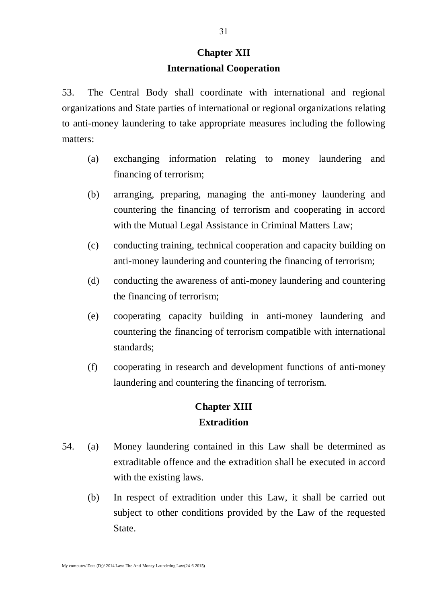# **Chapter XII International Cooperation**

53. The Central Body shall coordinate with international and regional organizations and State parties of international or regional organizations relating to anti-money laundering to take appropriate measures including the following matters:

- (a) exchanging information relating to money laundering and financing of terrorism;
- (b) arranging, preparing, managing the anti-money laundering and countering the financing of terrorism and cooperating in accord with the Mutual Legal Assistance in Criminal Matters Law;
- (c) conducting training, technical cooperation and capacity building on anti-money laundering and countering the financing of terrorism;
- (d) conducting the awareness of anti-money laundering and countering the financing of terrorism;
- (e) cooperating capacity building in anti-money laundering and countering the financing of terrorism compatible with international standards;
- (f) cooperating in research and development functions of anti-money laundering and countering the financing of terrorism.

# **Chapter XIII Extradition**

- 54. (a) Money laundering contained in this Law shall be determined as extraditable offence and the extradition shall be executed in accord with the existing laws.
	- (b) In respect of extradition under this Law, it shall be carried out subject to other conditions provided by the Law of the requested State.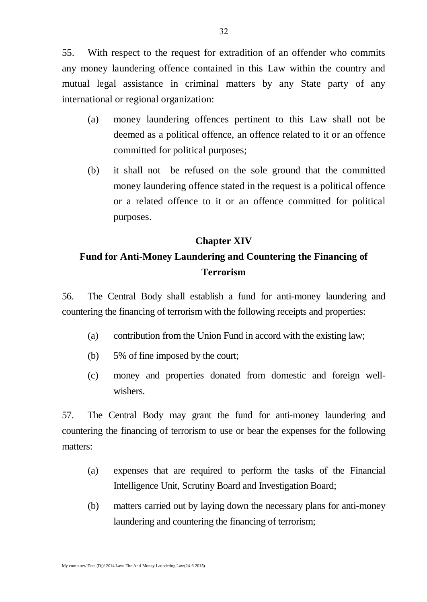55. With respect to the request for extradition of an offender who commits any money laundering offence contained in this Law within the country and mutual legal assistance in criminal matters by any State party of any international or regional organization:

- (a) money laundering offences pertinent to this Law shall not be deemed as a political offence, an offence related to it or an offence committed for political purposes;
- (b) it shall not be refused on the sole ground that the committed money laundering offence stated in the request is a political offence or a related offence to it or an offence committed for political purposes.

#### **Chapter XIV**

# **Fund for Anti**-**Money Laundering and Countering the Financing of Terrorism**

56. The Central Body shall establish a fund for anti-money laundering and countering the financing of terrorism with the following receipts and properties:

- (a) contribution from the Union Fund in accord with the existing law;
- (b) 5% of fine imposed by the court;
- (c) money and properties donated from domestic and foreign wellwishers.

57. The Central Body may grant the fund for anti-money laundering and countering the financing of terrorism to use or bear the expenses for the following matters:

- (a) expenses that are required to perform the tasks of the Financial Intelligence Unit, Scrutiny Board and Investigation Board;
- (b) matters carried out by laying down the necessary plans for anti-money laundering and countering the financing of terrorism;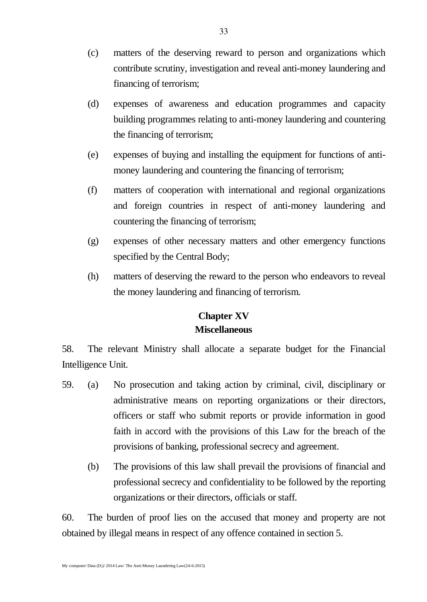- (c) matters of the deserving reward to person and organizations which contribute scrutiny, investigation and reveal anti-money laundering and financing of terrorism;
- (d) expenses of awareness and education programmes and capacity building programmes relating to anti-money laundering and countering the financing of terrorism;
- (e) expenses of buying and installing the equipment for functions of antimoney laundering and countering the financing of terrorism;
- (f) matters of cooperation with international and regional organizations and foreign countries in respect of anti-money laundering and countering the financing of terrorism;
- (g) expenses of other necessary matters and other emergency functions specified by the Central Body;
- (h) matters of deserving the reward to the person who endeavors to reveal the money laundering and financing of terrorism.

# **Chapter XV Miscellaneous**

58. The relevant Ministry shall allocate a separate budget for the Financial Intelligence Unit.

- 59. (a) No prosecution and taking action by criminal, civil, disciplinary or administrative means on reporting organizations or their directors, officers or staff who submit reports or provide information in good faith in accord with the provisions of this Law for the breach of the provisions of banking, professional secrecy and agreement.
	- (b) The provisions of this law shall prevail the provisions of financial and professional secrecy and confidentiality to be followed by the reporting organizations or their directors, officials or staff.

60. The burden of proof lies on the accused that money and property are not obtained by illegal means in respect of any offence contained in section 5.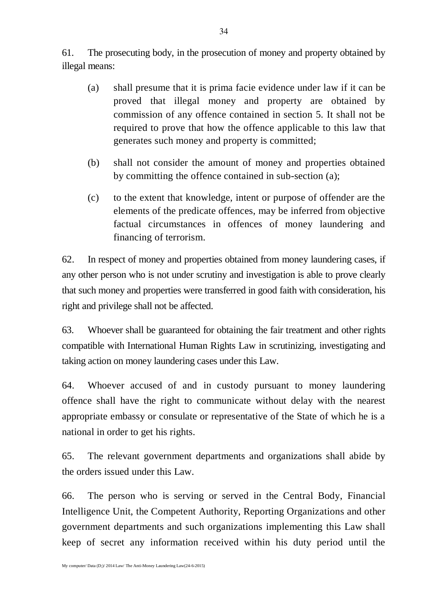61. The prosecuting body, in the prosecution of money and property obtained by illegal means:

- (a) shall presume that it is prima facie evidence under law if it can be proved that illegal money and property are obtained by commission of any offence contained in section 5. It shall not be required to prove that how the offence applicable to this law that generates such money and property is committed;
- (b) shall not consider the amount of money and properties obtained by committing the offence contained in sub-section (a);
- (c) to the extent that knowledge, intent or purpose of offender are the elements of the predicate offences, may be inferred from objective factual circumstances in offences of money laundering and financing of terrorism.

62. In respect of money and properties obtained from money laundering cases, if any other person who is not under scrutiny and investigation is able to prove clearly that such money and properties were transferred in good faith with consideration, his right and privilege shall not be affected.

63. Whoever shall be guaranteed for obtaining the fair treatment and other rights compatible with International Human Rights Law in scrutinizing, investigating and taking action on money laundering cases under this Law.

64. Whoever accused of and in custody pursuant to money laundering offence shall have the right to communicate without delay with the nearest appropriate embassy or consulate or representative of the State of which he is a national in order to get his rights.

65. The relevant government departments and organizations shall abide by the orders issued under this Law.

66. The person who is serving or served in the Central Body, Financial Intelligence Unit, the Competent Authority, Reporting Organizations and other government departments and such organizations implementing this Law shall keep of secret any information received within his duty period until the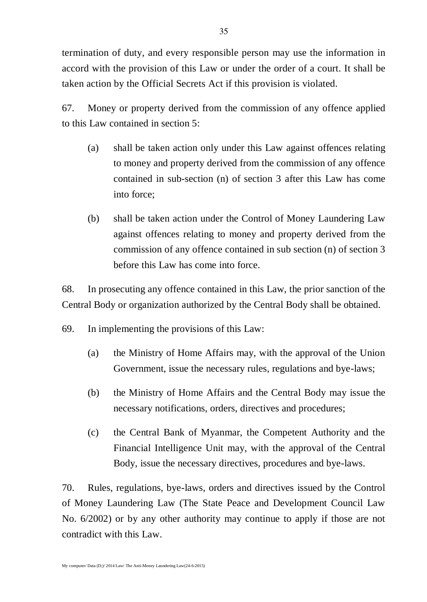termination of duty, and every responsible person may use the information in accord with the provision of this Law or under the order of a court. It shall be taken action by the Official Secrets Act if this provision is violated.

67. Money or property derived from the commission of any offence applied to this Law contained in section 5:

- (a) shall be taken action only under this Law against offences relating to money and property derived from the commission of any offence contained in sub-section (n) of section 3 after this Law has come into force;
- (b) shall be taken action under the Control of Money Laundering Law against offences relating to money and property derived from the commission of any offence contained in sub section (n) of section 3 before this Law has come into force.

68. In prosecuting any offence contained in this Law, the prior sanction of the Central Body or organization authorized by the Central Body shall be obtained.

69. In implementing the provisions of this Law:

- (a) the Ministry of Home Affairs may, with the approval of the Union Government, issue the necessary rules, regulations and bye-laws;
- (b) the Ministry of Home Affairs and the Central Body may issue the necessary notifications, orders, directives and procedures;
- (c) the Central Bank of Myanmar, the Competent Authority and the Financial Intelligence Unit may, with the approval of the Central Body, issue the necessary directives, procedures and bye-laws.

70. Rules, regulations, bye-laws, orders and directives issued by the Control of Money Laundering Law (The State Peace and Development Council Law No. 6/2002) or by any other authority may continue to apply if those are not contradict with this Law.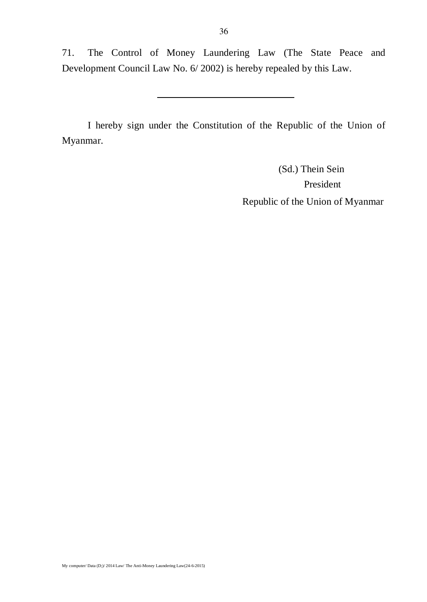71. The Control of Money Laundering Law (The State Peace and Development Council Law No. 6/ 2002) is hereby repealed by this Law.

I hereby sign under the Constitution of the Republic of the Union of Myanmar.

> (Sd.) Thein Sein President Republic of the Union of Myanmar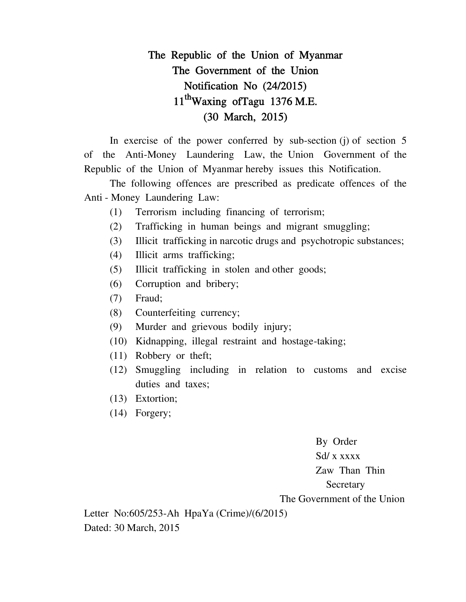# **The Republic of the Union of Myanmar The Government of the Union Notification No (24/2015) 11thWaxing ofTagu 1376 M.E. (30 March, 2015)**

In exercise of the power conferred by sub-section (j) of section 5 of the Anti-Money Laundering Law, the Union Government of the Republic of the Union of Myanmar hereby issues this Notification.

The following offences are prescribed as predicate offences of the Anti - Money Laundering Law:

- (1) Terrorism including financing of terrorism;
- (2) Trafficking in human beings and migrant smuggling;
- (3) Illicit trafficking in narcotic drugs and psychotropic substances;
- (4) Illicit arms trafficking;
- (5) Illicit trafficking in stolen and other goods;
- (6) Corruption and bribery;
- (7) Fraud;
- (8) Counterfeiting currency;
- (9) Murder and grievous bodily injury;
- (10) Kidnapping, illegal restraint and hostage-taking;
- (11) Robbery or theft;
- (12) Smuggling including in relation to customs and excise duties and taxes;
- (13) Extortion;
- (14) Forgery;

By Order Sd/ x xxxx Zaw Than Thin Secretary The Government of the Union

Letter No:605/253-Ah HpaYa (Crime)/(6/2015) Dated: 30 March, 2015